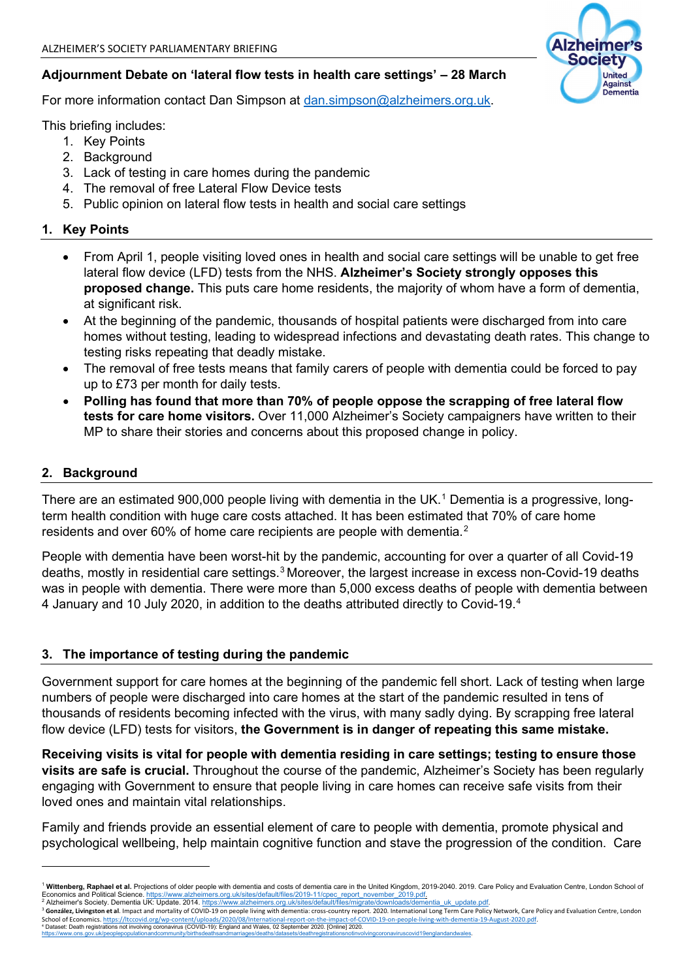## **Adjournment Debate on 'lateral flow tests in health care settings' – 28 March**

For more information contact Dan Simpson at [dan.simpson@alzheimers.org.uk.](mailto:dan.simpson@alzheimers.org.uk)

This briefing includes:

- 1. Key Points
- 2. Background
- 3. Lack of testing in care homes during the pandemic
- 4. The removal of free Lateral Flow Device tests
- 5. Public opinion on lateral flow tests in health and social care settings

## **1. Key Points**

- From April 1, people visiting loved ones in health and social care settings will be unable to get free lateral flow device (LFD) tests from the NHS. **Alzheimer's Society strongly opposes this proposed change.** This puts care home residents, the majority of whom have a form of dementia, at significant risk.
- At the beginning of the pandemic, thousands of hospital patients were discharged from into care homes without testing, leading to widespread infections and devastating death rates. This change to testing risks repeating that deadly mistake.
- The removal of free tests means that family carers of people with dementia could be forced to pay up to £73 per month for daily tests.
- **Polling has found that more than 70% of people oppose the scrapping of free lateral flow tests for care home visitors.** Over 11,000 Alzheimer's Society campaigners have written to their MP to share their stories and concerns about this proposed change in policy.

# **2. Background**

There are an estimated 900,000 people living with dementia in the UK.<sup>[1](#page-0-0)</sup> Dementia is a progressive, longterm health condition with huge care costs attached. It has been estimated that 70% of care home residents and over 60% of home care recipients are people with dementia.<sup>[2](#page-0-1)</sup>

People with dementia have been worst-hit by the pandemic, accounting for over a quarter of all Covid-19 deaths, mostly in residential care settings. [3](#page-0-2) Moreover, the largest increase in excess non-Covid-19 deaths was in people with dementia. There were more than 5,000 excess deaths of people with dementia between 4 January and 10 July 2020, in addition to the deaths attributed directly to Covid-19. [4](#page-0-3)

## **3. The importance of testing during the pandemic**

Government support for care homes at the beginning of the pandemic fell short. Lack of testing when large numbers of people were discharged into care homes at the start of the pandemic resulted in tens of thousands of residents becoming infected with the virus, with many sadly dying. By scrapping free lateral flow device (LFD) tests for visitors, **the Government is in danger of repeating this same mistake.**

**Receiving visits is vital for people with dementia residing in care settings; testing to ensure those visits are safe is crucial.** Throughout the course of the pandemic, Alzheimer's Society has been regularly engaging with Government to ensure that people living in care homes can receive safe visits from their loved ones and maintain vital relationships.

Family and friends provide an essential element of care to people with dementia, promote physical and psychological wellbeing, help maintain cognitive function and stave the progression of the condition. Care

<span id="page-0-3"></span>[https://www.ons.gov.uk/peoplepopulationandcommunity/birthsdeathsandmarriages/deaths/datasets/deathregistrationsnotinvolvingcoronaviruscovid19englandandwales.](https://www.ons.gov.uk/peoplepopulationandcommunity/birthsdeathsandmarriages/deaths/datasets/deathregistrationsnotinvolvingcoronaviruscovid19englandandwales) 



<span id="page-0-0"></span><sup>&</sup>lt;sup>1</sup> Wittenberg, Raphael et al. Projections of older people with dementia and costs of dementia care in the United Kingdom, 2019-2040. 2019. Care Policy and Evaluation Centre, London School of<br>Economics and Political Scienc Economics and Political Science. <u>https://www.alzheimers.org.uk/sites/default/files/2019-11/cpec\_report\_november\_2019.pdf.</u><br><sup>2</sup> Alzheimer's Society. Dementia UK: Update. 2014. <u>https://www.alzheimers.org.uk/sites/default/f</u>

<span id="page-0-2"></span><span id="page-0-1"></span><sup>&</sup>lt;sup>3</sup> González, Livingston et al. Impact and mortality of COVID-19 on people living with dementia: cross-country report. 2020. International Long Term Care Policy Network, Care Policy and Evaluation Centre, London<br>School of School of Economics. <u>https://ltccovid.org/wp-content/uploads/2020/08/International-report-on-the-impact-of-COVID-19-on-people-living-with-dementia-19-August-2020.pdf.<br>4 Dataset: Death registrations not involving coronavir</u>